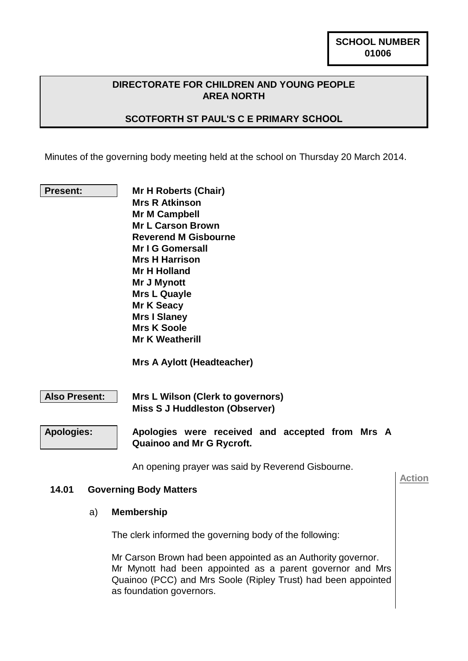#### **DIRECTORATE FOR CHILDREN AND YOUNG PEOPLE AREA NORTH**

#### **SCOTFORTH ST PAUL'S C E PRIMARY SCHOOL**

Minutes of the governing body meeting held at the school on Thursday 20 March 2014.

**Present: Mr H Roberts (Chair) Mrs R Atkinson Mr M Campbell Mr L Carson Brown Reverend M Gisbourne Mr I G Gomersall Mrs H Harrison Mr H Holland Mr J Mynott Mrs L Quayle Mr K Seacy Mrs I Slaney Mrs K Soole Mr K Weatherill**

 **Mrs A Aylott (Headteacher)**

**Also Present: Mrs L Wilson (Clerk to governors) Miss S J Huddleston (Observer)**

**Apologies: Apologies were received and accepted from Mrs A Quainoo and Mr G Rycroft.**

An opening prayer was said by Reverend Gisbourne.

#### **14.01 Governing Body Matters**

#### a) **Membership**

The clerk informed the governing body of the following:

Mr Carson Brown had been appointed as an Authority governor. Mr Mynott had been appointed as a parent governor and Mrs Quainoo (PCC) and Mrs Soole (Ripley Trust) had been appointed as foundation governors.

**Action**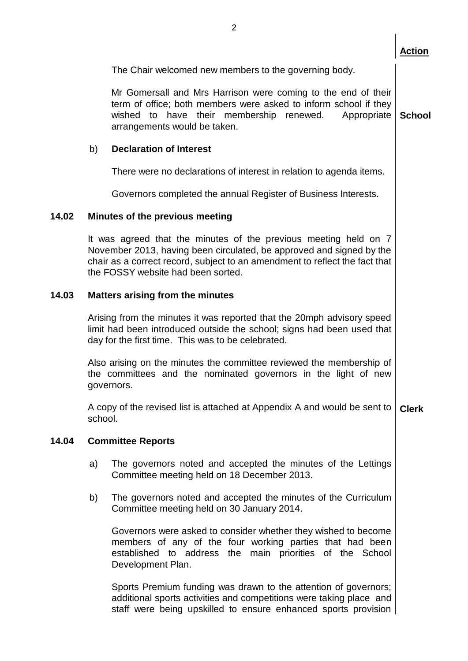|       |                                                                                                                                                                                                        |                                                                                                                                                                                                                                                               | <b>Action</b> |  |  |  |
|-------|--------------------------------------------------------------------------------------------------------------------------------------------------------------------------------------------------------|---------------------------------------------------------------------------------------------------------------------------------------------------------------------------------------------------------------------------------------------------------------|---------------|--|--|--|
|       |                                                                                                                                                                                                        | The Chair welcomed new members to the governing body.                                                                                                                                                                                                         |               |  |  |  |
|       |                                                                                                                                                                                                        | Mr Gomersall and Mrs Harrison were coming to the end of their<br>term of office; both members were asked to inform school if they<br>wished to have their membership renewed.<br>Appropriate<br>arrangements would be taken.                                  | <b>School</b> |  |  |  |
|       | b)                                                                                                                                                                                                     | <b>Declaration of Interest</b>                                                                                                                                                                                                                                |               |  |  |  |
|       |                                                                                                                                                                                                        | There were no declarations of interest in relation to agenda items.                                                                                                                                                                                           |               |  |  |  |
|       |                                                                                                                                                                                                        | Governors completed the annual Register of Business Interests.                                                                                                                                                                                                |               |  |  |  |
| 14.02 | Minutes of the previous meeting                                                                                                                                                                        |                                                                                                                                                                                                                                                               |               |  |  |  |
|       |                                                                                                                                                                                                        | It was agreed that the minutes of the previous meeting held on 7<br>November 2013, having been circulated, be approved and signed by the<br>chair as a correct record, subject to an amendment to reflect the fact that<br>the FOSSY website had been sorted. |               |  |  |  |
| 14.03 | <b>Matters arising from the minutes</b>                                                                                                                                                                |                                                                                                                                                                                                                                                               |               |  |  |  |
|       | Arising from the minutes it was reported that the 20mph advisory speed<br>limit had been introduced outside the school; signs had been used that<br>day for the first time. This was to be celebrated. |                                                                                                                                                                                                                                                               |               |  |  |  |
|       | Also arising on the minutes the committee reviewed the membership of<br>the committees and the nominated governors in the light of new<br>governors.                                                   |                                                                                                                                                                                                                                                               |               |  |  |  |
|       | school.                                                                                                                                                                                                | A copy of the revised list is attached at Appendix A and would be sent to                                                                                                                                                                                     | <b>Clerk</b>  |  |  |  |
| 14.04 | <b>Committee Reports</b>                                                                                                                                                                               |                                                                                                                                                                                                                                                               |               |  |  |  |
|       | a)                                                                                                                                                                                                     | The governors noted and accepted the minutes of the Lettings<br>Committee meeting held on 18 December 2013.                                                                                                                                                   |               |  |  |  |
|       | b)                                                                                                                                                                                                     | The governors noted and accepted the minutes of the Curriculum<br>Committee meeting held on 30 January 2014.                                                                                                                                                  |               |  |  |  |
|       |                                                                                                                                                                                                        | Governors were asked to consider whether they wished to become<br>members of any of the four working parties that had been<br>established to address the main priorities of the School<br>Development Plan.                                                   |               |  |  |  |
|       |                                                                                                                                                                                                        | Sports Premium funding was drawn to the attention of governors;<br>additional sports activities and competitions were taking place and                                                                                                                        |               |  |  |  |

staff were being upskilled to ensure enhanced sports provision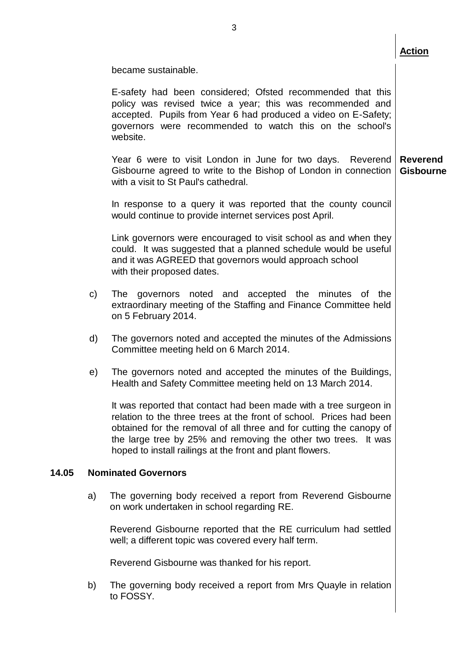became sustainable.

E-safety had been considered; Ofsted recommended that this policy was revised twice a year; this was recommended and accepted. Pupils from Year 6 had produced a video on E-Safety; governors were recommended to watch this on the school's website.

Year 6 were to visit London in June for two days. Reverend Gisbourne agreed to write to the Bishop of London in connection with a visit to St Paul's cathedral. **Reverend Gisbourne**

In response to a query it was reported that the county council would continue to provide internet services post April.

Link governors were encouraged to visit school as and when they could. It was suggested that a planned schedule would be useful and it was AGREED that governors would approach school with their proposed dates.

- c) The governors noted and accepted the minutes of the extraordinary meeting of the Staffing and Finance Committee held on 5 February 2014.
- d) The governors noted and accepted the minutes of the Admissions Committee meeting held on 6 March 2014.
- e) The governors noted and accepted the minutes of the Buildings, Health and Safety Committee meeting held on 13 March 2014.

It was reported that contact had been made with a tree surgeon in relation to the three trees at the front of school. Prices had been obtained for the removal of all three and for cutting the canopy of the large tree by 25% and removing the other two trees. It was hoped to install railings at the front and plant flowers.

#### **14.05 Nominated Governors**

a) The governing body received a report from Reverend Gisbourne on work undertaken in school regarding RE.

Reverend Gisbourne reported that the RE curriculum had settled well; a different topic was covered every half term.

Reverend Gisbourne was thanked for his report.

b) The governing body received a report from Mrs Quayle in relation to FOSSY.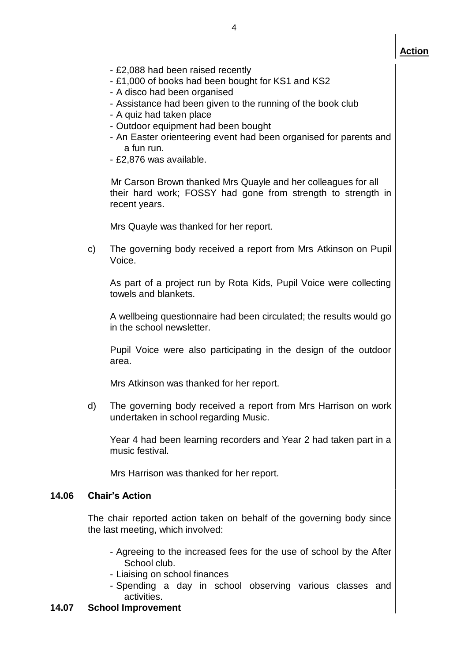- £2,088 had been raised recently
- £1,000 of books had been bought for KS1 and KS2
- A disco had been organised
- Assistance had been given to the running of the book club
- A quiz had taken place
- Outdoor equipment had been bought
- An Easter orienteering event had been organised for parents and a fun run.
- £2,876 was available.

 Mr Carson Brown thanked Mrs Quayle and her colleagues for all their hard work; FOSSY had gone from strength to strength in recent years.

Mrs Quayle was thanked for her report.

c) The governing body received a report from Mrs Atkinson on Pupil Voice.

As part of a project run by Rota Kids, Pupil Voice were collecting towels and blankets.

A wellbeing questionnaire had been circulated; the results would go in the school newsletter.

Pupil Voice were also participating in the design of the outdoor area.

Mrs Atkinson was thanked for her report.

d) The governing body received a report from Mrs Harrison on work undertaken in school regarding Music.

Year 4 had been learning recorders and Year 2 had taken part in a music festival.

Mrs Harrison was thanked for her report.

### **14.06 Chair's Action**

The chair reported action taken on behalf of the governing body since the last meeting, which involved:

- Agreeing to the increased fees for the use of school by the After School club.
- Liaising on school finances
- Spending a day in school observing various classes and activities.

### **14.07 School Improvement**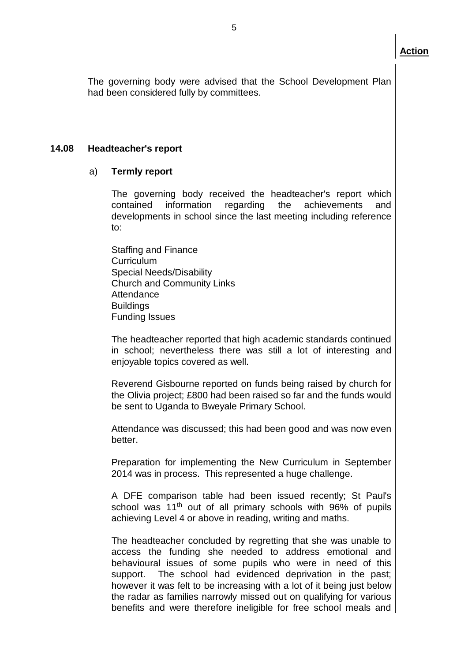The governing body were advised that the School Development Plan had been considered fully by committees.

#### **14.08 Headteacher's report**

#### a) **Termly report**

The governing body received the headteacher's report which contained information regarding the achievements and developments in school since the last meeting including reference to:

Staffing and Finance **Curriculum** Special Needs/Disability Church and Community Links Attendance **Buildings** Funding Issues

The headteacher reported that high academic standards continued in school; nevertheless there was still a lot of interesting and enjoyable topics covered as well.

Reverend Gisbourne reported on funds being raised by church for the Olivia project; £800 had been raised so far and the funds would be sent to Uganda to Bweyale Primary School.

Attendance was discussed; this had been good and was now even better.

Preparation for implementing the New Curriculum in September 2014 was in process. This represented a huge challenge.

A DFE comparison table had been issued recently; St Paul's school was  $11<sup>th</sup>$  out of all primary schools with 96% of pupils achieving Level 4 or above in reading, writing and maths.

The headteacher concluded by regretting that she was unable to access the funding she needed to address emotional and behavioural issues of some pupils who were in need of this support. The school had evidenced deprivation in the past; however it was felt to be increasing with a lot of it being just below the radar as families narrowly missed out on qualifying for various benefits and were therefore ineligible for free school meals and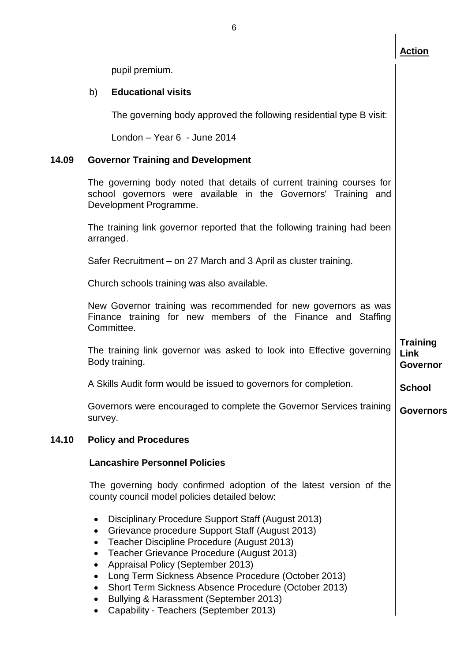**School**

pupil premium.

#### b) **Educational visits**

The governing body approved the following residential type B visit:

London – Year 6 - June 2014

#### **14.09 Governor Training and Development**

The governing body noted that details of current training courses for school governors were available in the Governors' Training and Development Programme.

The training link governor reported that the following training had been arranged.

Safer Recruitment – on 27 March and 3 April as cluster training.

Church schools training was also available.

New Governor training was recommended for new governors as was Finance training for new members of the Finance and Staffing Committee.

The training link governor was asked to look into Effective governing Body training. **Training Link Governor**

A Skills Audit form would be issued to governors for completion.

Governors were encouraged to complete the Governor Services training survey. **Governors**

#### **14.10 Policy and Procedures**

#### **Lancashire Personnel Policies**

The governing body confirmed adoption of the latest version of the county council model policies detailed below:

- Disciplinary Procedure Support Staff (August 2013)
- Grievance procedure Support Staff (August 2013)
- Teacher Discipline Procedure (August 2013)
- Teacher Grievance Procedure (August 2013)
- Appraisal Policy (September 2013)
- Long Term Sickness Absence Procedure (October 2013)
- Short Term Sickness Absence Procedure (October 2013)
- Bullying & Harassment (September 2013)
- Capability Teachers (September 2013)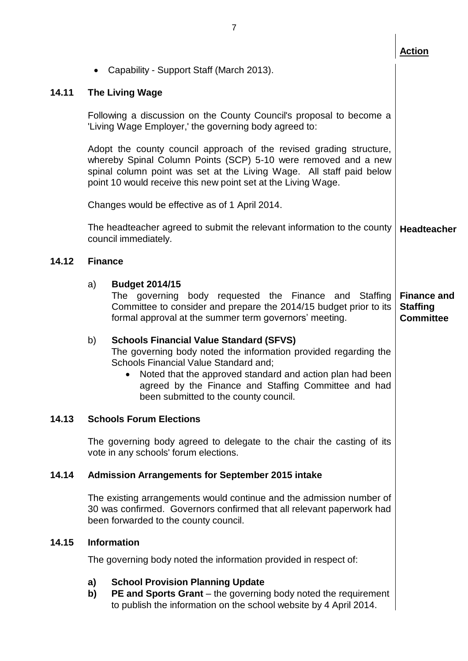|       |                                                                                                                                                                                        |                                                                                                                                                                                                                                                                                                                          | <b>Action</b>                                             |  |  |
|-------|----------------------------------------------------------------------------------------------------------------------------------------------------------------------------------------|--------------------------------------------------------------------------------------------------------------------------------------------------------------------------------------------------------------------------------------------------------------------------------------------------------------------------|-----------------------------------------------------------|--|--|
|       |                                                                                                                                                                                        | Capability - Support Staff (March 2013).                                                                                                                                                                                                                                                                                 |                                                           |  |  |
| 14.11 | <b>The Living Wage</b>                                                                                                                                                                 |                                                                                                                                                                                                                                                                                                                          |                                                           |  |  |
|       |                                                                                                                                                                                        | Following a discussion on the County Council's proposal to become a<br>'Living Wage Employer,' the governing body agreed to:                                                                                                                                                                                             |                                                           |  |  |
|       |                                                                                                                                                                                        | Adopt the county council approach of the revised grading structure,<br>whereby Spinal Column Points (SCP) 5-10 were removed and a new<br>spinal column point was set at the Living Wage. All staff paid below<br>point 10 would receive this new point set at the Living Wage.                                           |                                                           |  |  |
|       |                                                                                                                                                                                        | Changes would be effective as of 1 April 2014.                                                                                                                                                                                                                                                                           |                                                           |  |  |
|       |                                                                                                                                                                                        | The headteacher agreed to submit the relevant information to the county<br>council immediately.                                                                                                                                                                                                                          | <b>Headteacher</b>                                        |  |  |
| 14.12 | <b>Finance</b>                                                                                                                                                                         |                                                                                                                                                                                                                                                                                                                          |                                                           |  |  |
|       | a)                                                                                                                                                                                     | <b>Budget 2014/15</b><br>The governing body requested the Finance and<br>Staffing<br>Committee to consider and prepare the 2014/15 budget prior to its<br>formal approval at the summer term governors' meeting.                                                                                                         | <b>Finance and</b><br><b>Staffing</b><br><b>Committee</b> |  |  |
|       | b)                                                                                                                                                                                     | <b>Schools Financial Value Standard (SFVS)</b><br>The governing body noted the information provided regarding the<br>Schools Financial Value Standard and;<br>Noted that the approved standard and action plan had been<br>agreed by the Finance and Staffing Committee and had<br>been submitted to the county council. |                                                           |  |  |
| 14.13 | <b>Schools Forum Elections</b>                                                                                                                                                         |                                                                                                                                                                                                                                                                                                                          |                                                           |  |  |
|       |                                                                                                                                                                                        | The governing body agreed to delegate to the chair the casting of its<br>vote in any schools' forum elections.                                                                                                                                                                                                           |                                                           |  |  |
| 14.14 |                                                                                                                                                                                        | <b>Admission Arrangements for September 2015 intake</b>                                                                                                                                                                                                                                                                  |                                                           |  |  |
|       | The existing arrangements would continue and the admission number of<br>30 was confirmed. Governors confirmed that all relevant paperwork had<br>been forwarded to the county council. |                                                                                                                                                                                                                                                                                                                          |                                                           |  |  |
| 14.15 | <b>Information</b>                                                                                                                                                                     |                                                                                                                                                                                                                                                                                                                          |                                                           |  |  |
|       | The governing body noted the information provided in respect of:                                                                                                                       |                                                                                                                                                                                                                                                                                                                          |                                                           |  |  |
|       | a)<br>b)                                                                                                                                                                               | <b>School Provision Planning Update</b><br>PE and Sports Grant - the governing body noted the requirement<br>to publish the information on the school website by 4 April 2014.                                                                                                                                           |                                                           |  |  |
|       |                                                                                                                                                                                        |                                                                                                                                                                                                                                                                                                                          |                                                           |  |  |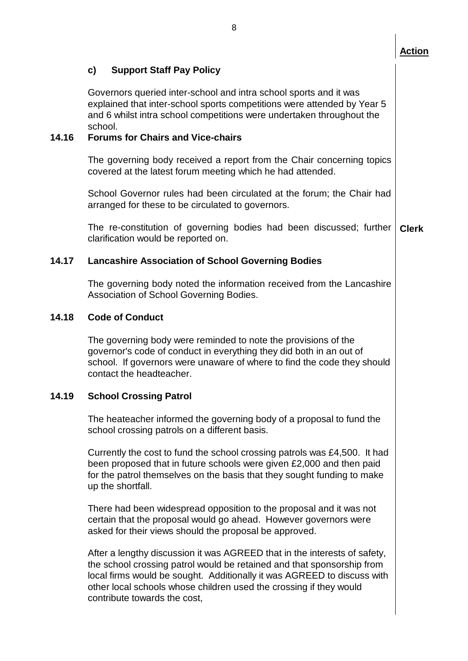|       | o                                                                                                                                                                                                                                                                                                                                    |              |  |  |
|-------|--------------------------------------------------------------------------------------------------------------------------------------------------------------------------------------------------------------------------------------------------------------------------------------------------------------------------------------|--------------|--|--|
|       |                                                                                                                                                                                                                                                                                                                                      | Action       |  |  |
|       | C)<br><b>Support Staff Pay Policy</b>                                                                                                                                                                                                                                                                                                |              |  |  |
|       | Governors queried inter-school and intra school sports and it was<br>explained that inter-school sports competitions were attended by Year 5<br>and 6 whilst intra school competitions were undertaken throughout the<br>school.                                                                                                     |              |  |  |
| 14.16 | <b>Forums for Chairs and Vice-chairs</b>                                                                                                                                                                                                                                                                                             |              |  |  |
|       | The governing body received a report from the Chair concerning topics<br>covered at the latest forum meeting which he had attended.                                                                                                                                                                                                  |              |  |  |
|       | School Governor rules had been circulated at the forum; the Chair had<br>arranged for these to be circulated to governors.                                                                                                                                                                                                           |              |  |  |
|       | The re-constitution of governing bodies had been discussed; further<br>clarification would be reported on.                                                                                                                                                                                                                           | <b>Clerk</b> |  |  |
| 14.17 | <b>Lancashire Association of School Governing Bodies</b>                                                                                                                                                                                                                                                                             |              |  |  |
|       | The governing body noted the information received from the Lancashire<br>Association of School Governing Bodies.                                                                                                                                                                                                                     |              |  |  |
| 14.18 | <b>Code of Conduct</b>                                                                                                                                                                                                                                                                                                               |              |  |  |
|       | The governing body were reminded to note the provisions of the<br>governor's code of conduct in everything they did both in an out of<br>school. If governors were unaware of where to find the code they should<br>contact the headteacher.                                                                                         |              |  |  |
| 14.19 | <b>School Crossing Patrol</b>                                                                                                                                                                                                                                                                                                        |              |  |  |
|       | The heateacher informed the governing body of a proposal to fund the<br>school crossing patrols on a different basis.                                                                                                                                                                                                                |              |  |  |
|       | Currently the cost to fund the school crossing patrols was £4,500. It had<br>been proposed that in future schools were given £2,000 and then paid<br>for the patrol themselves on the basis that they sought funding to make<br>up the shortfall.                                                                                    |              |  |  |
|       | There had been widespread opposition to the proposal and it was not<br>certain that the proposal would go ahead. However governors were<br>asked for their views should the proposal be approved.                                                                                                                                    |              |  |  |
|       | After a lengthy discussion it was AGREED that in the interests of safety,<br>the school crossing patrol would be retained and that sponsorship from<br>local firms would be sought. Additionally it was AGREED to discuss with<br>other local schools whose children used the crossing if they would<br>contribute towards the cost, |              |  |  |
|       |                                                                                                                                                                                                                                                                                                                                      |              |  |  |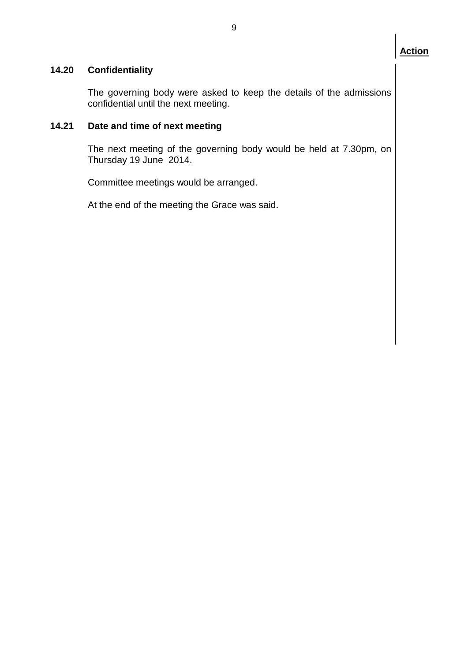### **14.20 Confidentiality**

The governing body were asked to keep the details of the admissions confidential until the next meeting.

#### **14.21 Date and time of next meeting**

The next meeting of the governing body would be held at 7.30pm, on Thursday 19 June 2014.

Committee meetings would be arranged.

At the end of the meeting the Grace was said.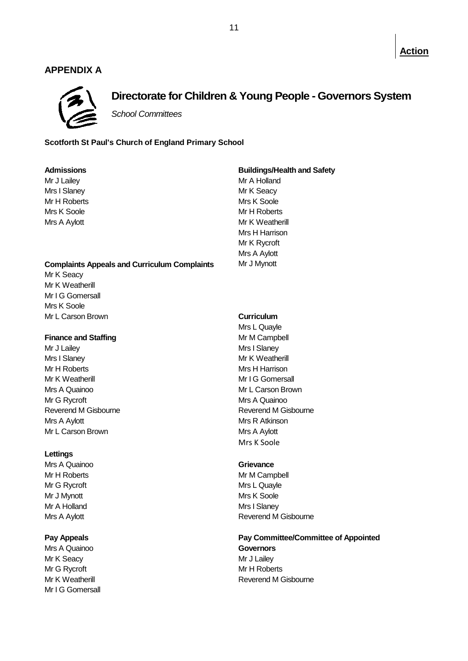#### **APPENDIX A**



### **Directorate for Children & Young People - Governors System**

*School Committees*

#### **Scotforth St Paul's Church of England Primary School**

| <b>Admissions</b>                                   | <b>Buildings/Health and Safety</b> |  |  |
|-----------------------------------------------------|------------------------------------|--|--|
| Mr J Lailey                                         | Mr A Holland                       |  |  |
| Mrs I Slaney                                        | Mr K Seacy                         |  |  |
| Mr H Roberts                                        | Mrs K Soole                        |  |  |
| Mrs K Soole                                         | Mr H Roberts                       |  |  |
| Mrs A Aylott                                        | Mr K Weatherill                    |  |  |
|                                                     | Mrs H Harrison                     |  |  |
|                                                     | Mr K Rycroft                       |  |  |
|                                                     | Mrs A Aylott                       |  |  |
| <b>Complaints Appeals and Curriculum Complaints</b> | Mr J Mynott                        |  |  |
| Mr K Seacy                                          |                                    |  |  |
| Mr K Weatherill                                     |                                    |  |  |
| Mr I G Gomersall                                    |                                    |  |  |
| Mrs K Soole                                         |                                    |  |  |
| Mr L Carson Brown                                   | Curriculum                         |  |  |
|                                                     | Mrs L Quayle                       |  |  |
| <b>Finance and Staffing</b>                         | Mr M Campbell                      |  |  |
| Mr J Lailey                                         | Mrs I Slaney                       |  |  |
| Mrs I Slaney                                        | Mr K Weatherill                    |  |  |
| Mr H Roberts                                        | Mrs H Harrison                     |  |  |
| Mr K Weatherill                                     | Mr I G Gomersall                   |  |  |
| Mrs A Quainoo                                       | Mr L Carson Brown                  |  |  |
| Mr G Rycroft                                        | Mrs A Quainoo                      |  |  |
| Reverend M Gisbourne                                | <b>Reverend M Gisbourne</b>        |  |  |
| Mrs A Aylott                                        | Mrs R Atkinson                     |  |  |
| Mr L Carson Brown                                   | Mrs A Aylott                       |  |  |
|                                                     | Mrs K Soole                        |  |  |
| Lettings                                            |                                    |  |  |
| Mrs A Quainoo                                       | Grievance                          |  |  |

Mr G Rycroft Mrs L Quayle Mr J Mynott **Mrs** K Soole Mr A Holland Mrs I Slaney

Mrs A Quainoo **Governors** Mr K Seacy **Mr J Lailey** Mr G Rycroft Mr H Roberts Mr I G Gomersall

# Mr H Roberts Mr M Campbell Mrs A Aylott **Mrs** A Aylott **Reverend M** Gisbourne

## **Pay Appeals Pay Committee/Committee of Appointed**

Mr K Weatherill **Matter and A Contract Contract Contract Contract Contract Contract Contract Contract Contract Contract Contract Contract Contract Contract Contract Contract Contract Contract Contract Contract Contract Con**